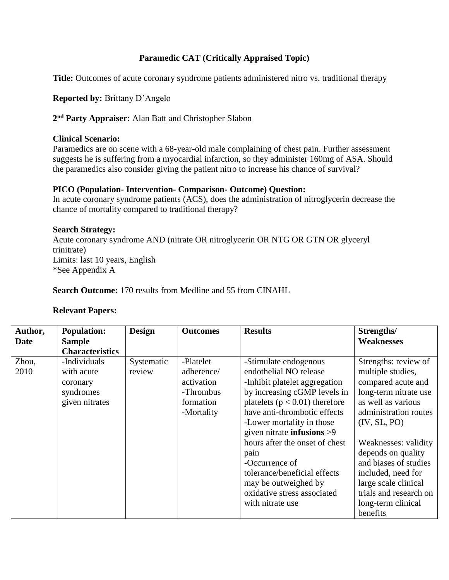# **Paramedic CAT (Critically Appraised Topic)**

**Title:** Outcomes of acute coronary syndrome patients administered nitro vs. traditional therapy

**Reported by:** Brittany D'Angelo

**2 nd Party Appraiser:** Alan Batt and Christopher Slabon

#### **Clinical Scenario:**

Paramedics are on scene with a 68-year-old male complaining of chest pain. Further assessment suggests he is suffering from a myocardial infarction, so they administer 160mg of ASA. Should the paramedics also consider giving the patient nitro to increase his chance of survival?

### **PICO (Population- Intervention- Comparison- Outcome) Question:**

In acute coronary syndrome patients (ACS), does the administration of nitroglycerin decrease the chance of mortality compared to traditional therapy?

**Search Strategy:** Acute coronary syndrome AND (nitrate OR nitroglycerin OR NTG OR GTN OR glyceryl trinitrate) Limits: last 10 years, English \*See Appendix A

**Search Outcome:** 170 results from Medline and 55 from CINAHL

| Author,<br>Date | <b>Population:</b><br><b>Sample</b>                                   | <b>Design</b>        | <b>Outcomes</b>                                                               | <b>Results</b>                                                                                                                                                                                                                                                                                                                                                                                                                    | Strengths/<br><b>Weaknesses</b>                                                                                                                                                                                                                                                                                                          |
|-----------------|-----------------------------------------------------------------------|----------------------|-------------------------------------------------------------------------------|-----------------------------------------------------------------------------------------------------------------------------------------------------------------------------------------------------------------------------------------------------------------------------------------------------------------------------------------------------------------------------------------------------------------------------------|------------------------------------------------------------------------------------------------------------------------------------------------------------------------------------------------------------------------------------------------------------------------------------------------------------------------------------------|
|                 | <b>Characteristics</b>                                                |                      |                                                                               |                                                                                                                                                                                                                                                                                                                                                                                                                                   |                                                                                                                                                                                                                                                                                                                                          |
| Zhou,<br>2010   | -Individuals<br>with acute<br>coronary<br>syndromes<br>given nitrates | Systematic<br>review | -Platelet<br>adherence/<br>activation<br>-Thrombus<br>formation<br>-Mortality | -Stimulate endogenous<br>endothelial NO release<br>-Inhibit platelet aggregation<br>by increasing cGMP levels in<br>platelets ( $p < 0.01$ ) therefore<br>have anti-thrombotic effects<br>-Lower mortality in those<br>given nitrate <b>infusions</b> $>9$<br>hours after the onset of chest<br>pain<br>-Occurrence of<br>tolerance/beneficial effects<br>may be outweighed by<br>oxidative stress associated<br>with nitrate use | Strengths: review of<br>multiple studies,<br>compared acute and<br>long-term nitrate use<br>as well as various<br>administration routes<br>(IV, SL, PO)<br>Weaknesses: validity<br>depends on quality<br>and biases of studies<br>included, need for<br>large scale clinical<br>trials and research on<br>long-term clinical<br>benefits |

## **Relevant Papers:**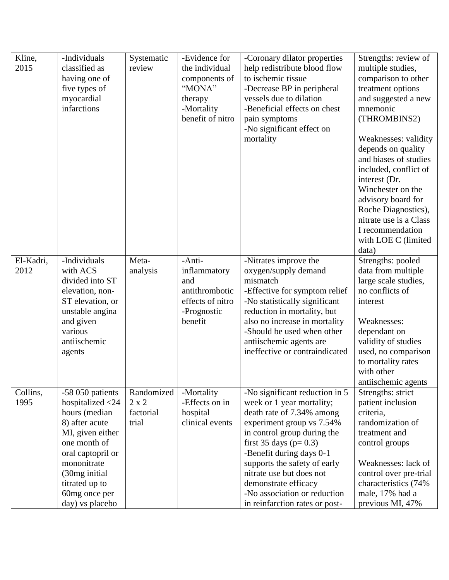| Kline,<br>2015    | -Individuals<br>classified as<br>having one of<br>five types of<br>myocardial<br>infarctions                                                                                                                               | Systematic<br>review                             | -Evidence for<br>the individual<br>components of<br>"MONA"<br>therapy<br>-Mortality<br>benefit of nitro | -Coronary dilator properties<br>help redistribute blood flow<br>to ischemic tissue<br>-Decrease BP in peripheral<br>vessels due to dilation<br>-Beneficial effects on chest<br>pain symptoms<br>-No significant effect on<br>mortality                                                                                                                              | Strengths: review of<br>multiple studies,<br>comparison to other<br>treatment options<br>and suggested a new<br>mnemonic<br>(THROMBINS2)<br>Weaknesses: validity<br>depends on quality<br>and biases of studies<br>included, conflict of<br>interest (Dr.<br>Winchester on the<br>advisory board for<br>Roche Diagnostics),<br>nitrate use is a Class<br>I recommendation<br>with LOE C (limited<br>data) |
|-------------------|----------------------------------------------------------------------------------------------------------------------------------------------------------------------------------------------------------------------------|--------------------------------------------------|---------------------------------------------------------------------------------------------------------|---------------------------------------------------------------------------------------------------------------------------------------------------------------------------------------------------------------------------------------------------------------------------------------------------------------------------------------------------------------------|-----------------------------------------------------------------------------------------------------------------------------------------------------------------------------------------------------------------------------------------------------------------------------------------------------------------------------------------------------------------------------------------------------------|
| El-Kadri,<br>2012 | -Individuals<br>with ACS<br>divided into ST<br>elevation, non-<br>ST elevation, or<br>unstable angina<br>and given<br>various<br>antiischemic<br>agents                                                                    | Meta-<br>analysis                                | -Anti-<br>inflammatory<br>and<br>antithrombotic<br>effects of nitro<br>-Prognostic<br>benefit           | -Nitrates improve the<br>oxygen/supply demand<br>mismatch<br>-Effective for symptom relief<br>-No statistically significant<br>reduction in mortality, but<br>also no increase in mortality<br>-Should be used when other<br>antiischemic agents are<br>ineffective or contraindicated                                                                              | Strengths: pooled<br>data from multiple<br>large scale studies,<br>no conflicts of<br>interest<br>Weaknesses:<br>dependant on<br>validity of studies<br>used, no comparison<br>to mortality rates<br>with other<br>antiischemic agents                                                                                                                                                                    |
| Collins,<br>1995  | -58 050 patients<br>hospitalized $<$ 24<br>hours (median<br>8) after acute<br>MI, given either<br>one month of<br>oral captopril or<br>mononitrate<br>(30mg initial)<br>titrated up to<br>60mg once per<br>day) vs placebo | Randomized<br>$2 \times 2$<br>factorial<br>trial | -Mortality<br>-Effects on in<br>hospital<br>clinical events                                             | -No significant reduction in 5<br>week or 1 year mortality;<br>death rate of 7.34% among<br>experiment group vs 7.54%<br>in control group during the<br>first 35 days ( $p=0.3$ )<br>-Benefit during days 0-1<br>supports the safety of early<br>nitrate use but does not<br>demonstrate efficacy<br>-No association or reduction<br>in reinfarction rates or post- | Strengths: strict<br>patient inclusion<br>criteria,<br>randomization of<br>treatment and<br>control groups<br>Weaknesses: lack of<br>control over pre-trial<br>characteristics (74%<br>male, 17% had a<br>previous MI, 47%                                                                                                                                                                                |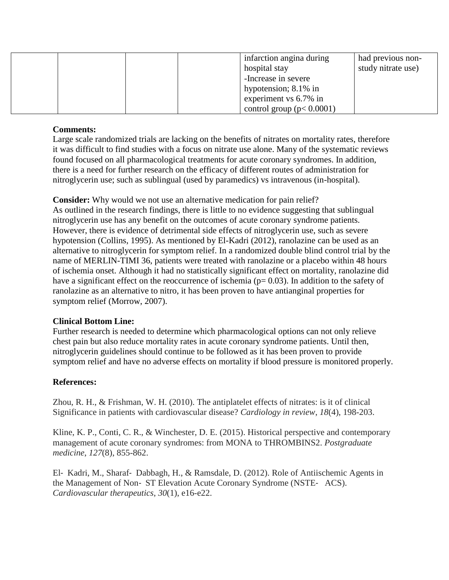|  |  | infarction angina during       | had previous non-  |
|--|--|--------------------------------|--------------------|
|  |  | hospital stay                  | study nitrate use) |
|  |  | -Increase in severe            |                    |
|  |  | hypotension; $8.1\%$ in        |                    |
|  |  | experiment vs 6.7% in          |                    |
|  |  | control group ( $p < 0.0001$ ) |                    |

### **Comments:**

Large scale randomized trials are lacking on the benefits of nitrates on mortality rates, therefore it was difficult to find studies with a focus on nitrate use alone. Many of the systematic reviews found focused on all pharmacological treatments for acute coronary syndromes. In addition, there is a need for further research on the efficacy of different routes of administration for nitroglycerin use; such as sublingual (used by paramedics) vs intravenous (in-hospital).

**Consider:** Why would we not use an alternative medication for pain relief?

As outlined in the research findings, there is little to no evidence suggesting that sublingual nitroglycerin use has any benefit on the outcomes of acute coronary syndrome patients. However, there is evidence of detrimental side effects of nitroglycerin use, such as severe hypotension (Collins, 1995). As mentioned by El-Kadri (2012), ranolazine can be used as an alternative to nitroglycerin for symptom relief. In a randomized double blind control trial by the name of MERLIN-TIMI 36, patients were treated with ranolazine or a placebo within 48 hours of ischemia onset. Although it had no statistically significant effect on mortality, ranolazine did have a significant effect on the reoccurrence of ischemia ( $p= 0.03$ ). In addition to the safety of ranolazine as an alternative to nitro, it has been proven to have antianginal properties for symptom relief (Morrow, 2007).

#### **Clinical Bottom Line:**

Further research is needed to determine which pharmacological options can not only relieve chest pain but also reduce mortality rates in acute coronary syndrome patients. Until then, nitroglycerin guidelines should continue to be followed as it has been proven to provide symptom relief and have no adverse effects on mortality if blood pressure is monitored properly.

## **References:**

Zhou, R. H., & Frishman, W. H. (2010). The antiplatelet effects of nitrates: is it of clinical Significance in patients with cardiovascular disease? *Cardiology in review*, *18*(4), 198-203.

Kline, K. P., Conti, C. R., & Winchester, D. E. (2015). Historical perspective and contemporary management of acute coronary syndromes: from MONA to THROMBINS2. *Postgraduate medicine*, *127*(8), 855-862.

El‐ Kadri, M., Sharaf‐ Dabbagh, H., & Ramsdale, D. (2012). Role of Antiischemic Agents in the Management of Non‐ ST Elevation Acute Coronary Syndrome (NSTE‐ ACS). *Cardiovascular therapeutics*, *30*(1), e16-e22.